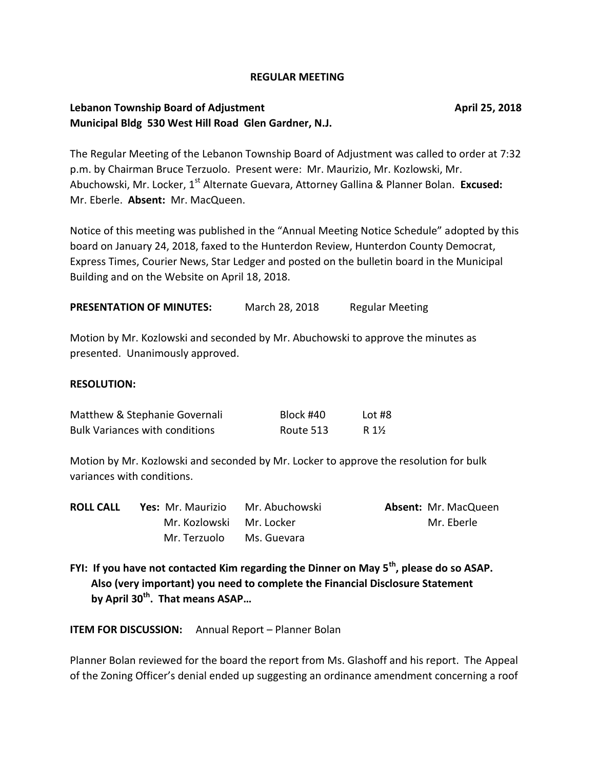#### **REGULAR MEETING**

## **Lebanon Township Board of Adjustment April 25, 2018 Municipal Bldg 530 West Hill Road Glen Gardner, N.J.**

The Regular Meeting of the Lebanon Township Board of Adjustment was called to order at 7:32 p.m. by Chairman Bruce Terzuolo. Present were: Mr. Maurizio, Mr. Kozlowski, Mr. Abuchowski, Mr. Locker, 1<sup>st</sup> Alternate Guevara, Attorney Gallina & Planner Bolan. **Excused:** Mr. Eberle. **Absent:** Mr. MacQueen.

Notice of this meeting was published in the "Annual Meeting Notice Schedule" adopted by this board on January 24, 2018, faxed to the Hunterdon Review, Hunterdon County Democrat, Express Times, Courier News, Star Ledger and posted on the bulletin board in the Municipal Building and on the Website on April 18, 2018.

**PRESENTATION OF MINUTES:** March 28, 2018 Regular Meeting

Motion by Mr. Kozlowski and seconded by Mr. Abuchowski to approve the minutes as presented. Unanimously approved.

#### **RESOLUTION:**

| Matthew & Stephanie Governali         | Block #40 | Lot #8 |
|---------------------------------------|-----------|--------|
| <b>Bulk Variances with conditions</b> | Route 513 | R 1½   |

Motion by Mr. Kozlowski and seconded by Mr. Locker to approve the resolution for bulk variances with conditions.

| <b>ROLL CALL</b> | <b>Yes:</b> Mr. Maurizio Mr. Abuchowski |             | <b>Absent: Mr. MacQueen</b> |
|------------------|-----------------------------------------|-------------|-----------------------------|
|                  | Mr. Kozlowski Mr. Locker                |             | Mr. Eberle                  |
|                  | Mr. Terzuolo                            | Ms. Guevara |                             |

**FYI: If you have not contacted Kim regarding the Dinner on May 5th, please do so ASAP. Also (very important) you need to complete the Financial Disclosure Statement by April 30th. That means ASAP…**

**ITEM FOR DISCUSSION:** Annual Report – Planner Bolan

Planner Bolan reviewed for the board the report from Ms. Glashoff and his report. The Appeal of the Zoning Officer's denial ended up suggesting an ordinance amendment concerning a roof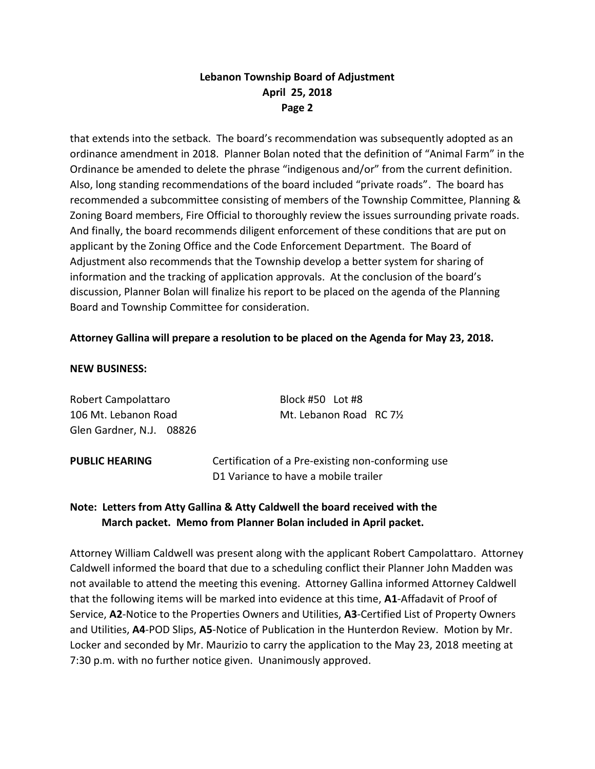# **Lebanon Township Board of Adjustment April 25, 2018 Page 2**

that extends into the setback. The board's recommendation was subsequently adopted as an ordinance amendment in 2018. Planner Bolan noted that the definition of "Animal Farm" in the Ordinance be amended to delete the phrase "indigenous and/or" from the current definition. Also, long standing recommendations of the board included "private roads". The board has recommended a subcommittee consisting of members of the Township Committee, Planning & Zoning Board members, Fire Official to thoroughly review the issues surrounding private roads. And finally, the board recommends diligent enforcement of these conditions that are put on applicant by the Zoning Office and the Code Enforcement Department. The Board of Adjustment also recommends that the Township develop a better system for sharing of information and the tracking of application approvals. At the conclusion of the board's discussion, Planner Bolan will finalize his report to be placed on the agenda of the Planning Board and Township Committee for consideration.

## **Attorney Gallina will prepare a resolution to be placed on the Agenda for May 23, 2018.**

#### **NEW BUSINESS:**

Robert Campolattaro Block #50 Lot #8 Glen Gardner, N.J. 08826

106 Mt. Lebanon Road Mt. Lebanon Road RC 7½

**PUBLIC HEARING** Certification of a Pre-existing non-conforming use D1 Variance to have a mobile trailer

# **Note: Letters from Atty Gallina & Atty Caldwell the board received with the March packet. Memo from Planner Bolan included in April packet.**

Attorney William Caldwell was present along with the applicant Robert Campolattaro. Attorney Caldwell informed the board that due to a scheduling conflict their Planner John Madden was not available to attend the meeting this evening. Attorney Gallina informed Attorney Caldwell that the following items will be marked into evidence at this time, **A1**-Affadavit of Proof of Service, **A2**-Notice to the Properties Owners and Utilities, **A3**-Certified List of Property Owners and Utilities, **A4**-POD Slips, **A5**-Notice of Publication in the Hunterdon Review. Motion by Mr. Locker and seconded by Mr. Maurizio to carry the application to the May 23, 2018 meeting at 7:30 p.m. with no further notice given. Unanimously approved.